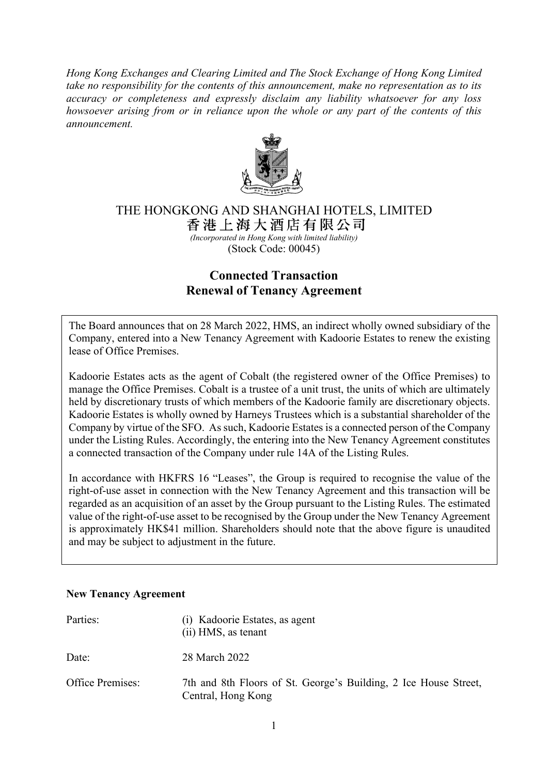*Hong Kong Exchanges and Clearing Limited and The Stock Exchange of Hong Kong Limited take no responsibility for the contents of this announcement, make no representation as to its accuracy or completeness and expressly disclaim any liability whatsoever for any loss howsoever arising from or in reliance upon the whole or any part of the contents of this announcement.*



# THE HONGKONG AND SHANGHAI HOTELS, LIMITED<br>香港上海大酒店有限公司

 *(Incorporated in Hong Kong with limited liability)* (Stock Code: 00045)

## **Connected Transaction Renewal of Tenancy Agreement**

The Board announces that on 28 March 2022, HMS, an indirect wholly owned subsidiary of the Company, entered into a New Tenancy Agreement with Kadoorie Estates to renew the existing lease of Office Premises.

Kadoorie Estates acts as the agent of Cobalt (the registered owner of the Office Premises) to manage the Office Premises. Cobalt is a trustee of a unit trust, the units of which are ultimately held by discretionary trusts of which members of the Kadoorie family are discretionary objects. Kadoorie Estates is wholly owned by Harneys Trustees which is a substantial shareholder of the Company by virtue of the SFO. As such, Kadoorie Estates is a connected person of the Company under the Listing Rules. Accordingly, the entering into the New Tenancy Agreement constitutes a connected transaction of the Company under rule 14A of the Listing Rules.

In accordance with HKFRS 16 "Leases", the Group is required to recognise the value of the right-of-use asset in connection with the New Tenancy Agreement and this transaction will be regarded as an acquisition of an asset by the Group pursuant to the Listing Rules. The estimated value of the right-of-use asset to be recognised by the Group under the New Tenancy Agreement is approximately HK\$41 million. Shareholders should note that the above figure is unaudited and may be subject to adjustment in the future.

#### **New Tenancy Agreement**

| Parties:                | (i) Kadoorie Estates, as agent<br>(ii) HMS, as tenant                                  |
|-------------------------|----------------------------------------------------------------------------------------|
| Date:                   | 28 March 2022                                                                          |
| <b>Office Premises:</b> | 7th and 8th Floors of St. George's Building, 2 Ice House Street,<br>Central, Hong Kong |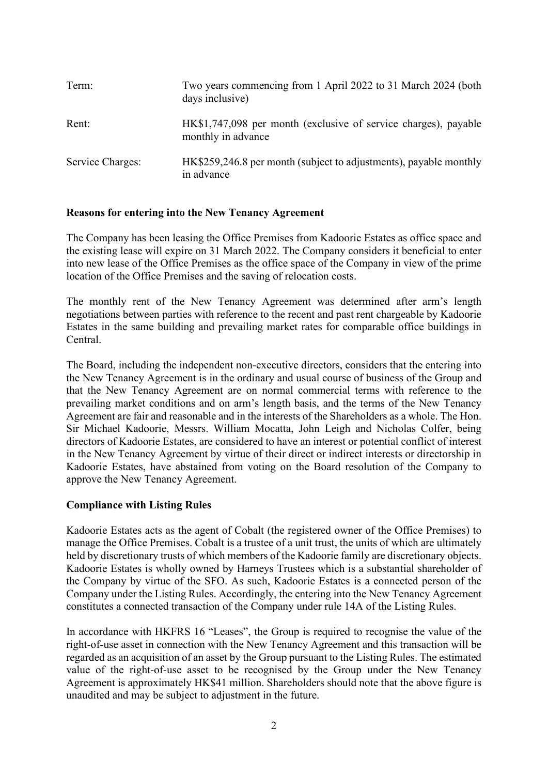| Term:            | Two years commencing from 1 April 2022 to 31 March 2024 (both<br>days inclusive)      |
|------------------|---------------------------------------------------------------------------------------|
| Rent:            | HK\$1,747,098 per month (exclusive of service charges), payable<br>monthly in advance |
| Service Charges: | HK\$259,246.8 per month (subject to adjustments), payable monthly<br>in advance       |

#### **Reasons for entering into the New Tenancy Agreement**

The Company has been leasing the Office Premises from Kadoorie Estates as office space and the existing lease will expire on 31 March 2022. The Company considers it beneficial to enter into new lease of the Office Premises as the office space of the Company in view of the prime location of the Office Premises and the saving of relocation costs.

The monthly rent of the New Tenancy Agreement was determined after arm's length negotiations between parties with reference to the recent and past rent chargeable by Kadoorie Estates in the same building and prevailing market rates for comparable office buildings in Central.

The Board, including the independent non-executive directors, considers that the entering into the New Tenancy Agreement is in the ordinary and usual course of business of the Group and that the New Tenancy Agreement are on normal commercial terms with reference to the prevailing market conditions and on arm's length basis, and the terms of the New Tenancy Agreement are fair and reasonable and in the interests of the Shareholders as a whole. The Hon. Sir Michael Kadoorie, Messrs. William Mocatta, John Leigh and Nicholas Colfer, being directors of Kadoorie Estates, are considered to have an interest or potential conflict of interest in the New Tenancy Agreement by virtue of their direct or indirect interests or directorship in Kadoorie Estates, have abstained from voting on the Board resolution of the Company to approve the New Tenancy Agreement.

#### **Compliance with Listing Rules**

Kadoorie Estates acts as the agent of Cobalt (the registered owner of the Office Premises) to manage the Office Premises. Cobalt is a trustee of a unit trust, the units of which are ultimately held by discretionary trusts of which members of the Kadoorie family are discretionary objects. Kadoorie Estates is wholly owned by Harneys Trustees which is a substantial shareholder of the Company by virtue of the SFO. As such, Kadoorie Estates is a connected person of the Company under the Listing Rules. Accordingly, the entering into the New Tenancy Agreement constitutes a connected transaction of the Company under rule 14A of the Listing Rules.

In accordance with HKFRS 16 "Leases", the Group is required to recognise the value of the right-of-use asset in connection with the New Tenancy Agreement and this transaction will be regarded as an acquisition of an asset by the Group pursuant to the Listing Rules. The estimated value of the right-of-use asset to be recognised by the Group under the New Tenancy Agreement is approximately HK\$41 million. Shareholders should note that the above figure is unaudited and may be subject to adjustment in the future.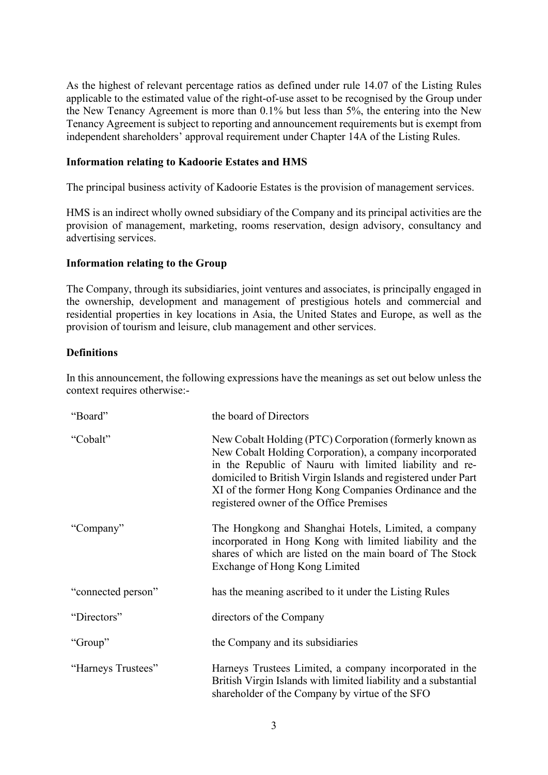As the highest of relevant percentage ratios as defined under rule 14.07 of the Listing Rules applicable to the estimated value of the right-of-use asset to be recognised by the Group under the New Tenancy Agreement is more than 0.1% but less than 5%, the entering into the New Tenancy Agreement is subject to reporting and announcement requirements but is exempt from independent shareholders' approval requirement under Chapter 14A of the Listing Rules.

#### **Information relating to Kadoorie Estates and HMS**

The principal business activity of Kadoorie Estates is the provision of management services.

HMS is an indirect wholly owned subsidiary of the Company and its principal activities are the provision of management, marketing, rooms reservation, design advisory, consultancy and advertising services.

#### **Information relating to the Group**

The Company, through its subsidiaries, joint ventures and associates, is principally engaged in the ownership, development and management of prestigious hotels and commercial and residential properties in key locations in Asia, the United States and Europe, as well as the provision of tourism and leisure, club management and other services.

### **Definitions**

In this announcement, the following expressions have the meanings as set out below unless the context requires otherwise:-

| "Board"            | the board of Directors                                                                                                                                                                                                                                                                                                                              |
|--------------------|-----------------------------------------------------------------------------------------------------------------------------------------------------------------------------------------------------------------------------------------------------------------------------------------------------------------------------------------------------|
| "Cobalt"           | New Cobalt Holding (PTC) Corporation (formerly known as<br>New Cobalt Holding Corporation), a company incorporated<br>in the Republic of Nauru with limited liability and re-<br>domiciled to British Virgin Islands and registered under Part<br>XI of the former Hong Kong Companies Ordinance and the<br>registered owner of the Office Premises |
| "Company"          | The Hongkong and Shanghai Hotels, Limited, a company<br>incorporated in Hong Kong with limited liability and the<br>shares of which are listed on the main board of The Stock<br>Exchange of Hong Kong Limited                                                                                                                                      |
| "connected person" | has the meaning ascribed to it under the Listing Rules                                                                                                                                                                                                                                                                                              |
| "Directors"        | directors of the Company                                                                                                                                                                                                                                                                                                                            |
| "Group"            | the Company and its subsidiaries                                                                                                                                                                                                                                                                                                                    |
| "Harneys Trustees" | Harneys Trustees Limited, a company incorporated in the<br>British Virgin Islands with limited liability and a substantial<br>shareholder of the Company by virtue of the SFO                                                                                                                                                                       |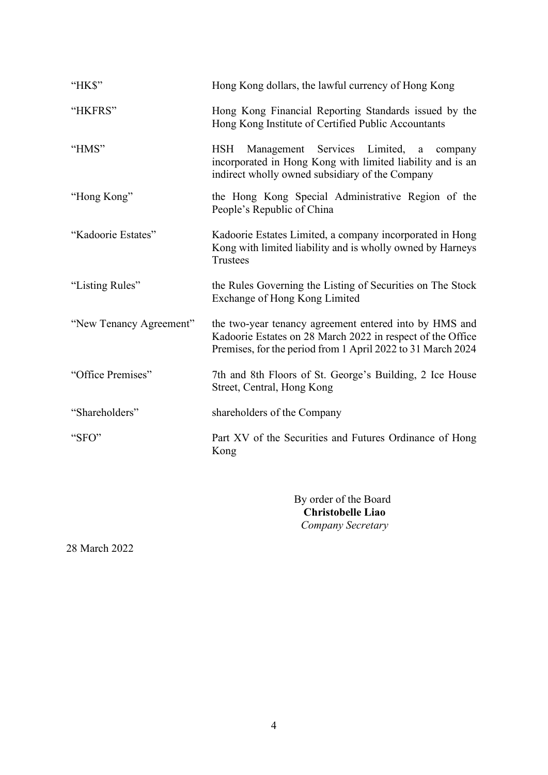| "HK\$"                  | Hong Kong dollars, the lawful currency of Hong Kong                                                                                                                                    |
|-------------------------|----------------------------------------------------------------------------------------------------------------------------------------------------------------------------------------|
| "HKFRS"                 | Hong Kong Financial Reporting Standards issued by the<br>Hong Kong Institute of Certified Public Accountants                                                                           |
| "HMS"                   | Management Services Limited,<br><b>HSH</b><br>$\mathbf{a}$<br>company<br>incorporated in Hong Kong with limited liability and is an<br>indirect wholly owned subsidiary of the Company |
| "Hong Kong"             | the Hong Kong Special Administrative Region of the<br>People's Republic of China                                                                                                       |
| "Kadoorie Estates"      | Kadoorie Estates Limited, a company incorporated in Hong<br>Kong with limited liability and is wholly owned by Harneys<br><b>Trustees</b>                                              |
| "Listing Rules"         | the Rules Governing the Listing of Securities on The Stock<br>Exchange of Hong Kong Limited                                                                                            |
| "New Tenancy Agreement" | the two-year tenancy agreement entered into by HMS and<br>Kadoorie Estates on 28 March 2022 in respect of the Office<br>Premises, for the period from 1 April 2022 to 31 March 2024    |
| "Office Premises"       | 7th and 8th Floors of St. George's Building, 2 Ice House<br>Street, Central, Hong Kong                                                                                                 |
| "Shareholders"          | shareholders of the Company                                                                                                                                                            |
| "SFO"                   | Part XV of the Securities and Futures Ordinance of Hong<br>Kong                                                                                                                        |
|                         |                                                                                                                                                                                        |

By order of the Board  **Christobelle Liao** *Company Secretary*

28 March 2022